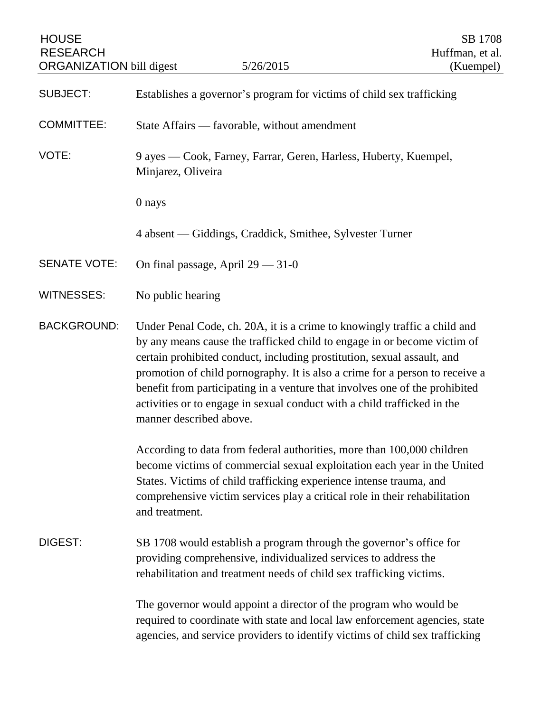| <b>HOUSE</b><br><b>RESEARCH</b><br><b>ORGANIZATION</b> bill digest                                                                                                                                                                                                                                                                                                                                                                                                                                                           |                                                                                                                                                                                                                                                                                                                           | 5/26/2015                                                                                                                                                                                                                        | SB 1708<br>Huffman, et al.<br>(Kuempel) |
|------------------------------------------------------------------------------------------------------------------------------------------------------------------------------------------------------------------------------------------------------------------------------------------------------------------------------------------------------------------------------------------------------------------------------------------------------------------------------------------------------------------------------|---------------------------------------------------------------------------------------------------------------------------------------------------------------------------------------------------------------------------------------------------------------------------------------------------------------------------|----------------------------------------------------------------------------------------------------------------------------------------------------------------------------------------------------------------------------------|-----------------------------------------|
| <b>SUBJECT:</b>                                                                                                                                                                                                                                                                                                                                                                                                                                                                                                              | Establishes a governor's program for victims of child sex trafficking                                                                                                                                                                                                                                                     |                                                                                                                                                                                                                                  |                                         |
| <b>COMMITTEE:</b>                                                                                                                                                                                                                                                                                                                                                                                                                                                                                                            | State Affairs — favorable, without amendment                                                                                                                                                                                                                                                                              |                                                                                                                                                                                                                                  |                                         |
| VOTE:                                                                                                                                                                                                                                                                                                                                                                                                                                                                                                                        | 9 ayes — Cook, Farney, Farrar, Geren, Harless, Huberty, Kuempel,<br>Minjarez, Oliveira                                                                                                                                                                                                                                    |                                                                                                                                                                                                                                  |                                         |
|                                                                                                                                                                                                                                                                                                                                                                                                                                                                                                                              | 0 nays                                                                                                                                                                                                                                                                                                                    |                                                                                                                                                                                                                                  |                                         |
|                                                                                                                                                                                                                                                                                                                                                                                                                                                                                                                              |                                                                                                                                                                                                                                                                                                                           | 4 absent — Giddings, Craddick, Smithee, Sylvester Turner                                                                                                                                                                         |                                         |
| <b>SENATE VOTE:</b>                                                                                                                                                                                                                                                                                                                                                                                                                                                                                                          | On final passage, April $29 - 31 - 0$                                                                                                                                                                                                                                                                                     |                                                                                                                                                                                                                                  |                                         |
| <b>WITNESSES:</b>                                                                                                                                                                                                                                                                                                                                                                                                                                                                                                            | No public hearing                                                                                                                                                                                                                                                                                                         |                                                                                                                                                                                                                                  |                                         |
| <b>BACKGROUND:</b><br>Under Penal Code, ch. 20A, it is a crime to knowingly traffic a child and<br>by any means cause the trafficked child to engage in or become victim of<br>certain prohibited conduct, including prostitution, sexual assault, and<br>promotion of child pornography. It is also a crime for a person to receive a<br>benefit from participating in a venture that involves one of the prohibited<br>activities or to engage in sexual conduct with a child trafficked in the<br>manner described above. |                                                                                                                                                                                                                                                                                                                           |                                                                                                                                                                                                                                  |                                         |
|                                                                                                                                                                                                                                                                                                                                                                                                                                                                                                                              | According to data from federal authorities, more than 100,000 children<br>become victims of commercial sexual exploitation each year in the United<br>States. Victims of child trafficking experience intense trauma, and<br>comprehensive victim services play a critical role in their rehabilitation<br>and treatment. |                                                                                                                                                                                                                                  |                                         |
| DIGEST:                                                                                                                                                                                                                                                                                                                                                                                                                                                                                                                      | SB 1708 would establish a program through the governor's office for<br>providing comprehensive, individualized services to address the<br>rehabilitation and treatment needs of child sex trafficking victims.                                                                                                            |                                                                                                                                                                                                                                  |                                         |
|                                                                                                                                                                                                                                                                                                                                                                                                                                                                                                                              |                                                                                                                                                                                                                                                                                                                           | The governor would appoint a director of the program who would be<br>required to coordinate with state and local law enforcement agencies, state<br>agencies, and service providers to identify victims of child sex trafficking |                                         |